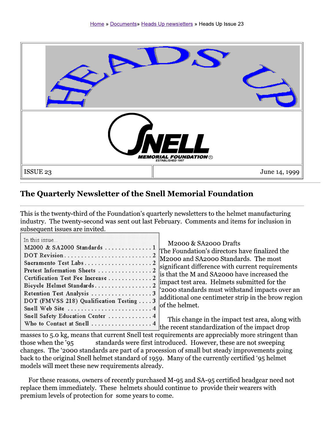

## The Quarterly Newsletter of the Snell Memorial Foundation

This is the twenty-third of the Foundation's quarterly newsletters to the helmet manufacturing industry. The twenty-second was sent out last February. Comments and items for inclusion in subsequent issues are invited.

| In this issue                           |
|-----------------------------------------|
| M2000 & SA2000 Standards 1              |
|                                         |
| Sacramento Test Labs2                   |
| Pretest Information Sheets  2           |
| Certification Test Fee Increase  2      |
| Bicycle Helmet Standards2               |
| Retention Test Analysis 3               |
| DOT (FMVSS 218) Qualification Testing 3 |
| Snell Web Site  4                       |
| Snell Safety Education Center  4        |
| Who to Contact at Snell 4               |

M2000 & SA2000 Drafts The Foundation's directors have finalized the M2000 and SA2000 Standards. The most significant difference with current requirements is that the M and SA2000 have increased the impact test area. Helmets submitted for the '2000 standards must withstand impacts over an additional one centimeter strip in the brow region of the helmet.

This change in the impact test area, along with the recent standardization of the impact drop

masses to 5.0 kg, means that current Snell test requirements are appreciably more stringent than standards were first introduced. However, these are not sweeping those when the '95 changes. The '2000 standards are part of a procession of small but steady improvements going back to the original Snell helmet standard of 1959. Many of the currently certified '95 helmet models will meet these new requirements already.

For these reasons, owners of recently purchased M-95 and SA-95 certified headgear need not replace them immediately. These helmets should continue to provide their wearers with premium levels of protection for some years to come.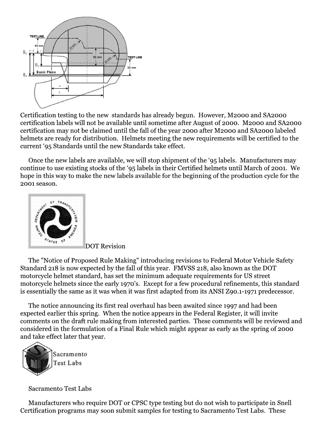

Certification testing to the new standards has already begun. However, M2000 and SA2000 certification labels will not be available until sometime after August of 2000. M2000 and SA2000 certification may not be claimed until the fall of the year 2000 after M2000 and SA2000 labeled helmets are ready for distribution. Helmets meeting the new requirements will be certified to the current '95 Standards until the new Standards take effect.

Once the new labels are available, we will stop shipment of the '95 labels. Manufacturers may continue to use existing stocks of the '95 labels in their Certified helmets until March of 2001. We hope in this way to make the new labels available for the beginning of the production cycle for the 2001 season.



**DOT Revision** 

The "Notice of Proposed Rule Making" introducing revisions to Federal Motor Vehicle Safety Standard 218 is now expected by the fall of this year. FMVSS 218, also known as the DOT motorcycle helmet standard, has set the minimum adequate requirements for US street motorcycle helmets since the early 1970's. Except for a few procedural refinements, this standard is essentially the same as it was when it was first adapted from its ANSI Z90.1-1971 predecessor.

The notice announcing its first real overhaul has been awaited since 1997 and had been expected earlier this spring. When the notice appears in the Federal Register, it will invite comments on the draft rule making from interested parties. These comments will be reviewed and considered in the formulation of a Final Rule which might appear as early as the spring of 2000 and take effect later that year.



Sacramento **Test Labs** 

**Sacramento Test Labs** 

Manufacturers who require DOT or CPSC type testing but do not wish to participate in Snell Certification programs may soon submit samples for testing to Sacramento Test Labs. These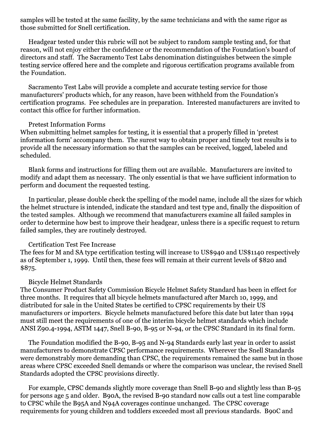samples will be tested at the same facility, by the same technicians and with the same rigor as those submitted for Snell certification.

Headgear tested under this rubric will not be subject to random sample testing and, for that reason, will not enjoy either the confidence or the recommendation of the Foundation's board of directors and staff. The Sacramento Test Labs denomination distinguishes between the simple testing service offered here and the complete and rigorous certification programs available from the Foundation.

Sacramento Test Labs will provide a complete and accurate testing service for those manufacturers' products which, for any reason, have been withheld from the Foundation's certification programs. Fee schedules are in preparation. Interested manufacturers are invited to contact this office for further information.

## **Pretest Information Forms**

When submitting helmet samples for testing, it is essential that a properly filled in 'pretest information form' accompany them. The surest way to obtain proper and timely test results is to provide all the necessary information so that the samples can be received, logged, labeled and scheduled.

Blank forms and instructions for filling them out are available. Manufacturers are invited to modify and adapt them as necessary. The only essential is that we have sufficient information to perform and document the requested testing.

In particular, please double check the spelling of the model name, include all the sizes for which the helmet structure is intended, indicate the standard and test type and, finally the disposition of the tested samples. Although we recommend that manufacturers examine all failed samples in order to determine how best to improve their headgear, unless there is a specific request to return failed samples, they are routinely destroved.

## **Certification Test Fee Increase**

The fees for M and SA type certification testing will increase to US\$940 and US\$1140 respectively as of September 1, 1999. Until then, these fees will remain at their current levels of \$820 and  $$875.$ 

## **Bicycle Helmet Standards**

The Consumer Product Safety Commission Bicycle Helmet Safety Standard has been in effect for three months. It requires that all bicycle helmets manufactured after March 10, 1999, and distributed for sale in the United States be certified to CPSC requirements by their US manufacturers or importers. Bicycle helmets manufactured before this date but later than 1994 must still meet the requirements of one of the interim bicycle helmet standards which include ANSI Z90.4-1994, ASTM 1447, Snell B-90, B-95 or N-94, or the CPSC Standard in its final form.

The Foundation modified the B-90, B-95 and N-94 Standards early last year in order to assist manufacturers to demonstrate CPSC performance requirements. Wherever the Snell Standards were demonstrably more demanding than CPSC, the requirements remained the same but in those areas where CPSC exceeded Snell demands or where the comparison was unclear, the revised Snell Standards adopted the CPSC provisions directly.

For example, CPSC demands slightly more coverage than Snell B-90 and slightly less than B-95 for persons age 5 and older. B90A, the revised B-90 standard now calls out a test line comparable to CPSC while the B95A and N94A coverages continue unchanged. The CPSC coverage requirements for young children and toddlers exceeded most all previous standards. BooC and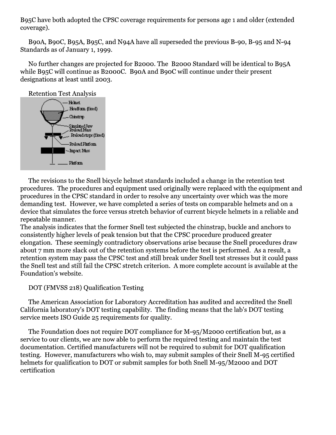B95C have both adopted the CPSC coverage requirements for persons age 1 and older (extended coverage).

B90A, B90C, B95A, B95C, and N94A have all superseded the previous B-90, B-95 and N-94 Standards as of January 1, 1999.

No further changes are projected for B2000. The B2000 Standard will be identical to B95A while B95C will continue as B2000C. B90A and B90C will continue under their present designations at least until 2003.

**Retention Test Analysis** 



The revisions to the Snell bicycle helmet standards included a change in the retention test procedures. The procedures and equipment used originally were replaced with the equipment and procedures in the CPSC standard in order to resolve any uncertainty over which was the more demanding test. However, we have completed a series of tests on comparable helmets and on a device that simulates the force versus stretch behavior of current bicycle helmets in a reliable and repeatable manner.

The analysis indicates that the former Snell test subjected the chinstrap, buckle and anchors to consistently higher levels of peak tension but that the CPSC procedure produced greater elongation. These seemingly contradictory observations arise because the Snell procedures draw about 7 mm more slack out of the retention systems before the test is performed. As a result, a retention system may pass the CPSC test and still break under Snell test stresses but it could pass the Snell test and still fail the CPSC stretch criterion. A more complete account is available at the Foundation's website.

DOT (FMVSS 218) Qualification Testing

The American Association for Laboratory Accreditation has audited and accredited the Snell California laboratory's DOT testing capability. The finding means that the lab's DOT testing service meets ISO Guide 25 requirements for quality.

The Foundation does not require DOT compliance for M-95/M2000 certification but, as a service to our clients, we are now able to perform the required testing and maintain the test documentation. Certified manufacturers will not be required to submit for DOT qualification testing. However, manufacturers who wish to, may submit samples of their Snell M-95 certified helmets for qualification to DOT or submit samples for both Snell M-95/M2000 and DOT certification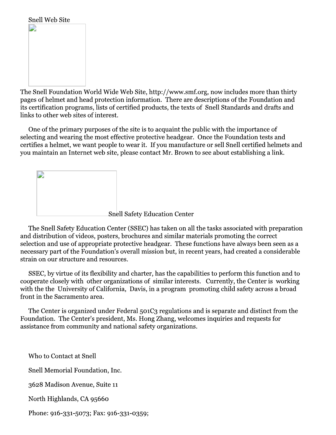

The Snell Foundation World Wide Web Site, http://www.smf.org, now includes more than thirty pages of helmet and head protection information. There are descriptions of the Foundation and its certification programs, lists of certified products, the texts of Snell Standards and drafts and links to other web sites of interest.

One of the primary purposes of the site is to acquaint the public with the importance of selecting and wearing the most effective protective headgear. Once the Foundation tests and certifies a helmet, we want people to wear it. If you manufacture or sell Snell certified helmets and you maintain an Internet web site, please contact Mr. Brown to see about establishing a link.

**Snell Safety Education Center** 

The Snell Safety Education Center (SSEC) has taken on all the tasks associated with preparation and distribution of videos, posters, brochures and similar materials promoting the correct selection and use of appropriate protective headgear. These functions have always been seen as a necessary part of the Foundation's overall mission but, in recent years, had created a considerable strain on our structure and resources.

SSEC, by virtue of its flexibility and charter, has the capabilities to perform this function and to cooperate closely with other organizations of similar interests. Currently, the Center is working with the the University of California, Davis, in a program promoting child safety across a broad front in the Sacramento area.

The Center is organized under Federal 501C3 regulations and is separate and distinct from the Foundation. The Center's president, Ms. Hong Zhang, welcomes inquiries and requests for assistance from community and national safety organizations.

Who to Contact at Snell Snell Memorial Foundation, Inc. 3628 Madison Avenue, Suite 11 North Highlands, CA 95660 Phone: 916-331-5073; Fax: 916-331-0359;